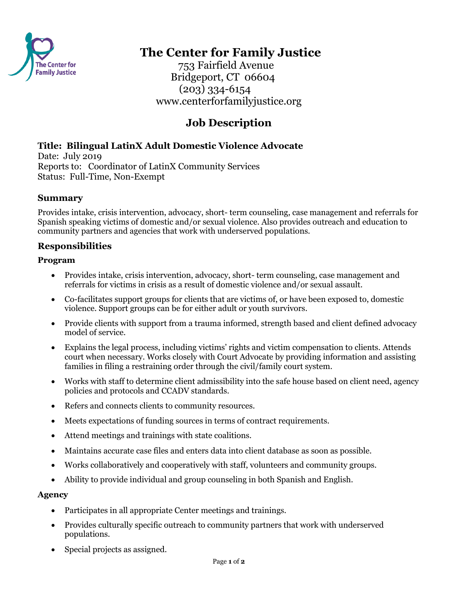

# **The Center for Family Justice**

 753 Fairfield Avenue Bridgeport, CT 06604 (203) 334-6154 www.centerforfamilyjustice.org

# **Job Description**

## **Title: Bilingual LatinX Adult Domestic Violence Advocate**

Date: July 2019 Reports to: Coordinator of LatinX Community Services Status: Full-Time, Non-Exempt

## **Summary**

Provides intake, crisis intervention, advocacy, short- term counseling, case management and referrals for Spanish speaking victims of domestic and/or sexual violence. Also provides outreach and education to community partners and agencies that work with underserved populations.

## **Responsibilities**

#### **Program**

- Provides intake, crisis intervention, advocacy, short- term counseling, case management and referrals for victims in crisis as a result of domestic violence and/or sexual assault.
- Co-facilitates support groups for clients that are victims of, or have been exposed to, domestic violence. Support groups can be for either adult or youth survivors.
- Provide clients with support from a trauma informed, strength based and client defined advocacy model of service.
- Explains the legal process, including victims' rights and victim compensation to clients. Attends court when necessary. Works closely with Court Advocate by providing information and assisting families in filing a restraining order through the civil/family court system.
- Works with staff to determine client admissibility into the safe house based on client need, agency policies and protocols and CCADV standards.
- Refers and connects clients to community resources.
- Meets expectations of funding sources in terms of contract requirements.
- Attend meetings and trainings with state coalitions.
- Maintains accurate case files and enters data into client database as soon as possible.
- Works collaboratively and cooperatively with staff, volunteers and community groups.
- Ability to provide individual and group counseling in both Spanish and English.

#### **Agency**

- Participates in all appropriate Center meetings and trainings.
- Provides culturally specific outreach to community partners that work with underserved populations.
- Special projects as assigned.